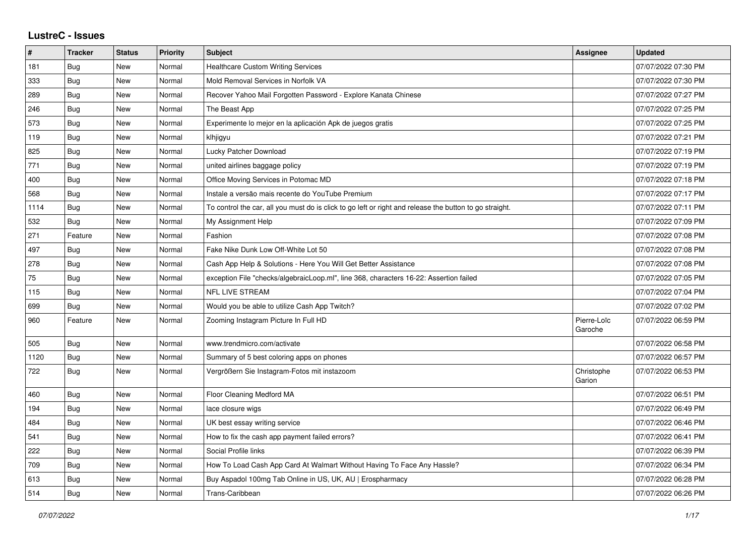## **LustreC - Issues**

| $\pmb{\#}$ | <b>Tracker</b> | <b>Status</b> | <b>Priority</b> | <b>Subject</b>                                                                                          | <b>Assignee</b>        | <b>Updated</b>      |
|------------|----------------|---------------|-----------------|---------------------------------------------------------------------------------------------------------|------------------------|---------------------|
| 181        | <b>Bug</b>     | New           | Normal          | <b>Healthcare Custom Writing Services</b>                                                               |                        | 07/07/2022 07:30 PM |
| 333        | <b>Bug</b>     | <b>New</b>    | Normal          | Mold Removal Services in Norfolk VA                                                                     |                        | 07/07/2022 07:30 PM |
| 289        | Bug            | <b>New</b>    | Normal          | Recover Yahoo Mail Forgotten Password - Explore Kanata Chinese                                          |                        | 07/07/2022 07:27 PM |
| 246        | Bug            | New           | Normal          | The Beast App                                                                                           |                        | 07/07/2022 07:25 PM |
| 573        | Bug            | <b>New</b>    | Normal          | Experimente lo mejor en la aplicación Apk de juegos gratis                                              |                        | 07/07/2022 07:25 PM |
| 119        | Bug            | New           | Normal          | klhjigyu                                                                                                |                        | 07/07/2022 07:21 PM |
| 825        | <b>Bug</b>     | <b>New</b>    | Normal          | Lucky Patcher Download                                                                                  |                        | 07/07/2022 07:19 PM |
| 771        | Bug            | <b>New</b>    | Normal          | united airlines baggage policy                                                                          |                        | 07/07/2022 07:19 PM |
| 400        | Bug            | <b>New</b>    | Normal          | Office Moving Services in Potomac MD                                                                    |                        | 07/07/2022 07:18 PM |
| 568        | Bug            | <b>New</b>    | Normal          | Instale a versão mais recente do YouTube Premium                                                        |                        | 07/07/2022 07:17 PM |
| 1114       | Bug            | <b>New</b>    | Normal          | To control the car, all you must do is click to go left or right and release the button to go straight. |                        | 07/07/2022 07:11 PM |
| 532        | <b>Bug</b>     | <b>New</b>    | Normal          | My Assignment Help                                                                                      |                        | 07/07/2022 07:09 PM |
| 271        | Feature        | <b>New</b>    | Normal          | Fashion                                                                                                 |                        | 07/07/2022 07:08 PM |
| 497        | <b>Bug</b>     | <b>New</b>    | Normal          | Fake Nike Dunk Low Off-White Lot 50                                                                     |                        | 07/07/2022 07:08 PM |
| 278        | <b>Bug</b>     | <b>New</b>    | Normal          | Cash App Help & Solutions - Here You Will Get Better Assistance                                         |                        | 07/07/2022 07:08 PM |
| 75         | Bug            | <b>New</b>    | Normal          | exception File "checks/algebraicLoop.ml", line 368, characters 16-22: Assertion failed                  |                        | 07/07/2022 07:05 PM |
| 115        | Bug            | New           | Normal          | <b>NFL LIVE STREAM</b>                                                                                  |                        | 07/07/2022 07:04 PM |
| 699        | Bug            | New           | Normal          | Would you be able to utilize Cash App Twitch?                                                           |                        | 07/07/2022 07:02 PM |
| 960        | Feature        | New           | Normal          | Zooming Instagram Picture In Full HD                                                                    | Pierre-Loïc<br>Garoche | 07/07/2022 06:59 PM |
| 505        | Bug            | <b>New</b>    | Normal          | www.trendmicro.com/activate                                                                             |                        | 07/07/2022 06:58 PM |
| 1120       | Bug            | <b>New</b>    | Normal          | Summary of 5 best coloring apps on phones                                                               |                        | 07/07/2022 06:57 PM |
| 722        | Bug            | <b>New</b>    | Normal          | Vergrößern Sie Instagram-Fotos mit instazoom                                                            | Christophe<br>Garion   | 07/07/2022 06:53 PM |
| 460        | <b>Bug</b>     | <b>New</b>    | Normal          | Floor Cleaning Medford MA                                                                               |                        | 07/07/2022 06:51 PM |
| 194        | <b>Bug</b>     | <b>New</b>    | Normal          | lace closure wigs                                                                                       |                        | 07/07/2022 06:49 PM |
| 484        | <b>Bug</b>     | New           | Normal          | UK best essay writing service                                                                           |                        | 07/07/2022 06:46 PM |
| 541        | Bug            | <b>New</b>    | Normal          | How to fix the cash app payment failed errors?                                                          |                        | 07/07/2022 06:41 PM |
| 222        | Bug            | <b>New</b>    | Normal          | Social Profile links                                                                                    |                        | 07/07/2022 06:39 PM |
| 709        | Bug            | New           | Normal          | How To Load Cash App Card At Walmart Without Having To Face Any Hassle?                                 |                        | 07/07/2022 06:34 PM |
| 613        | Bug            | <b>New</b>    | Normal          | Buy Aspadol 100mg Tab Online in US, UK, AU   Erospharmacy                                               |                        | 07/07/2022 06:28 PM |
| 514        | Bug            | <b>New</b>    | Normal          | Trans-Caribbean                                                                                         |                        | 07/07/2022 06:26 PM |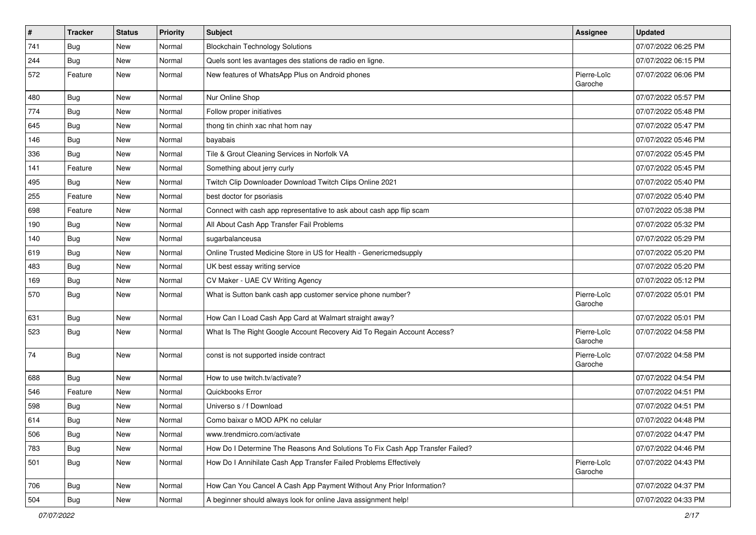| $\vert$ # | <b>Tracker</b> | <b>Status</b> | Priority | Subject                                                                       | <b>Assignee</b>        | <b>Updated</b>      |
|-----------|----------------|---------------|----------|-------------------------------------------------------------------------------|------------------------|---------------------|
| 741       | <b>Bug</b>     | New           | Normal   | <b>Blockchain Technology Solutions</b>                                        |                        | 07/07/2022 06:25 PM |
| 244       | Bug            | <b>New</b>    | Normal   | Quels sont les avantages des stations de radio en ligne.                      |                        | 07/07/2022 06:15 PM |
| 572       | Feature        | New           | Normal   | New features of WhatsApp Plus on Android phones                               | Pierre-Loïc<br>Garoche | 07/07/2022 06:06 PM |
| 480       | Bug            | New           | Normal   | Nur Online Shop                                                               |                        | 07/07/2022 05:57 PM |
| 774       | <b>Bug</b>     | New           | Normal   | Follow proper initiatives                                                     |                        | 07/07/2022 05:48 PM |
| 645       | <b>Bug</b>     | New           | Normal   | thong tin chinh xac nhat hom nay                                              |                        | 07/07/2022 05:47 PM |
| 146       | <b>Bug</b>     | New           | Normal   | bayabais                                                                      |                        | 07/07/2022 05:46 PM |
| 336       | <b>Bug</b>     | New           | Normal   | Tile & Grout Cleaning Services in Norfolk VA                                  |                        | 07/07/2022 05:45 PM |
| 141       | Feature        | New           | Normal   | Something about jerry curly                                                   |                        | 07/07/2022 05:45 PM |
| 495       | <b>Bug</b>     | New           | Normal   | Twitch Clip Downloader Download Twitch Clips Online 2021                      |                        | 07/07/2022 05:40 PM |
| 255       | Feature        | New           | Normal   | best doctor for psoriasis                                                     |                        | 07/07/2022 05:40 PM |
| 698       | Feature        | New           | Normal   | Connect with cash app representative to ask about cash app flip scam          |                        | 07/07/2022 05:38 PM |
| 190       | <b>Bug</b>     | New           | Normal   | All About Cash App Transfer Fail Problems                                     |                        | 07/07/2022 05:32 PM |
| 140       | Bug            | New           | Normal   | sugarbalanceusa                                                               |                        | 07/07/2022 05:29 PM |
| 619       | <b>Bug</b>     | New           | Normal   | Online Trusted Medicine Store in US for Health - Genericmedsupply             |                        | 07/07/2022 05:20 PM |
| 483       | <b>Bug</b>     | New           | Normal   | UK best essay writing service                                                 |                        | 07/07/2022 05:20 PM |
| 169       | Bug            | New           | Normal   | CV Maker - UAE CV Writing Agency                                              |                        | 07/07/2022 05:12 PM |
| 570       | Bug            | New           | Normal   | What is Sutton bank cash app customer service phone number?                   | Pierre-Loïc<br>Garoche | 07/07/2022 05:01 PM |
| 631       | Bug            | <b>New</b>    | Normal   | How Can I Load Cash App Card at Walmart straight away?                        |                        | 07/07/2022 05:01 PM |
| 523       | Bug            | New           | Normal   | What Is The Right Google Account Recovery Aid To Regain Account Access?       | Pierre-Loïc<br>Garoche | 07/07/2022 04:58 PM |
| 74        | Bug            | New           | Normal   | const is not supported inside contract                                        | Pierre-Loïc<br>Garoche | 07/07/2022 04:58 PM |
| 688       | Bug            | New           | Normal   | How to use twitch.tv/activate?                                                |                        | 07/07/2022 04:54 PM |
| 546       | Feature        | New           | Normal   | Quickbooks Error                                                              |                        | 07/07/2022 04:51 PM |
| 598       | <b>Bug</b>     | New           | Normal   | Universo s / f Download                                                       |                        | 07/07/2022 04:51 PM |
| 614       | <b>Bug</b>     | New           | Normal   | Como baixar o MOD APK no celular                                              |                        | 07/07/2022 04:48 PM |
| 506       | Bug            | New           | Normal   | www.trendmicro.com/activate                                                   |                        | 07/07/2022 04:47 PM |
| 783       | Bug            | New           | Normal   | How Do I Determine The Reasons And Solutions To Fix Cash App Transfer Failed? |                        | 07/07/2022 04:46 PM |
| 501       | Bug            | New           | Normal   | How Do I Annihilate Cash App Transfer Failed Problems Effectively             | Pierre-Loïc<br>Garoche | 07/07/2022 04:43 PM |
| 706       | Bug            | New           | Normal   | How Can You Cancel A Cash App Payment Without Any Prior Information?          |                        | 07/07/2022 04:37 PM |
| 504       | Bug            | New           | Normal   | A beginner should always look for online Java assignment help!                |                        | 07/07/2022 04:33 PM |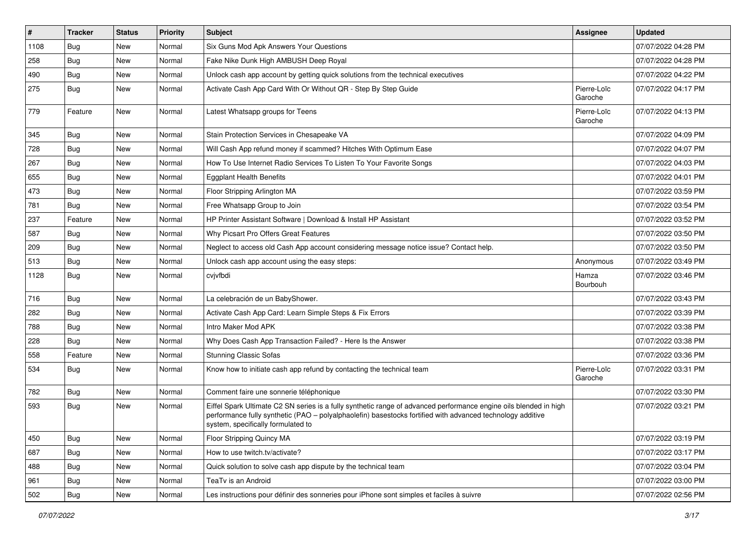| $\vert$ # | <b>Tracker</b> | <b>Status</b> | Priority | <b>Subject</b>                                                                                                                                                                                                                                                        | <b>Assignee</b>        | <b>Updated</b>      |
|-----------|----------------|---------------|----------|-----------------------------------------------------------------------------------------------------------------------------------------------------------------------------------------------------------------------------------------------------------------------|------------------------|---------------------|
| 1108      | Bug            | New           | Normal   | Six Guns Mod Apk Answers Your Questions                                                                                                                                                                                                                               |                        | 07/07/2022 04:28 PM |
| 258       | Bug            | <b>New</b>    | Normal   | Fake Nike Dunk High AMBUSH Deep Royal                                                                                                                                                                                                                                 |                        | 07/07/2022 04:28 PM |
| 490       | <b>Bug</b>     | New           | Normal   | Unlock cash app account by getting quick solutions from the technical executives                                                                                                                                                                                      |                        | 07/07/2022 04:22 PM |
| 275       | <b>Bug</b>     | New           | Normal   | Activate Cash App Card With Or Without QR - Step By Step Guide                                                                                                                                                                                                        | Pierre-Loïc<br>Garoche | 07/07/2022 04:17 PM |
| 779       | Feature        | <b>New</b>    | Normal   | Latest Whatsapp groups for Teens                                                                                                                                                                                                                                      | Pierre-Loïc<br>Garoche | 07/07/2022 04:13 PM |
| 345       | Bug            | <b>New</b>    | Normal   | Stain Protection Services in Chesapeake VA                                                                                                                                                                                                                            |                        | 07/07/2022 04:09 PM |
| 728       | Bug            | New           | Normal   | Will Cash App refund money if scammed? Hitches With Optimum Ease                                                                                                                                                                                                      |                        | 07/07/2022 04:07 PM |
| 267       | Bug            | <b>New</b>    | Normal   | How To Use Internet Radio Services To Listen To Your Favorite Songs                                                                                                                                                                                                   |                        | 07/07/2022 04:03 PM |
| 655       | Bug            | New           | Normal   | <b>Eggplant Health Benefits</b>                                                                                                                                                                                                                                       |                        | 07/07/2022 04:01 PM |
| 473       | Bug            | New           | Normal   | Floor Stripping Arlington MA                                                                                                                                                                                                                                          |                        | 07/07/2022 03:59 PM |
| 781       | <b>Bug</b>     | New           | Normal   | Free Whatsapp Group to Join                                                                                                                                                                                                                                           |                        | 07/07/2022 03:54 PM |
| 237       | Feature        | New           | Normal   | HP Printer Assistant Software   Download & Install HP Assistant                                                                                                                                                                                                       |                        | 07/07/2022 03:52 PM |
| 587       | <b>Bug</b>     | New           | Normal   | Why Picsart Pro Offers Great Features                                                                                                                                                                                                                                 |                        | 07/07/2022 03:50 PM |
| 209       | <b>Bug</b>     | New           | Normal   | Neglect to access old Cash App account considering message notice issue? Contact help.                                                                                                                                                                                |                        | 07/07/2022 03:50 PM |
| 513       | <b>Bug</b>     | <b>New</b>    | Normal   | Unlock cash app account using the easy steps:                                                                                                                                                                                                                         | Anonymous              | 07/07/2022 03:49 PM |
| 1128      | Bug            | New           | Normal   | cvjvfbdi                                                                                                                                                                                                                                                              | Hamza<br>Bourbouh      | 07/07/2022 03:46 PM |
| 716       | Bug            | New           | Normal   | La celebración de un BabyShower.                                                                                                                                                                                                                                      |                        | 07/07/2022 03:43 PM |
| 282       | Bug            | <b>New</b>    | Normal   | Activate Cash App Card: Learn Simple Steps & Fix Errors                                                                                                                                                                                                               |                        | 07/07/2022 03:39 PM |
| 788       | <b>Bug</b>     | New           | Normal   | Intro Maker Mod APK                                                                                                                                                                                                                                                   |                        | 07/07/2022 03:38 PM |
| 228       | <b>Bug</b>     | New           | Normal   | Why Does Cash App Transaction Failed? - Here Is the Answer                                                                                                                                                                                                            |                        | 07/07/2022 03:38 PM |
| 558       | Feature        | New           | Normal   | <b>Stunning Classic Sofas</b>                                                                                                                                                                                                                                         |                        | 07/07/2022 03:36 PM |
| 534       | <b>Bug</b>     | New           | Normal   | Know how to initiate cash app refund by contacting the technical team                                                                                                                                                                                                 | Pierre-Loïc<br>Garoche | 07/07/2022 03:31 PM |
| 782       | Bug            | New           | Normal   | Comment faire une sonnerie téléphonique                                                                                                                                                                                                                               |                        | 07/07/2022 03:30 PM |
| 593       | <b>Bug</b>     | New           | Normal   | Eiffel Spark Ultimate C2 SN series is a fully synthetic range of advanced performance engine oils blended in high<br>performance fully synthetic (PAO - polyalphaolefin) basestocks fortified with advanced technology additive<br>system, specifically formulated to |                        | 07/07/2022 03:21 PM |
| 450       | Bug            | New           | Normal   | Floor Stripping Quincy MA                                                                                                                                                                                                                                             |                        | 07/07/2022 03:19 PM |
| 687       | <b>Bug</b>     | New           | Normal   | How to use twitch.tv/activate?                                                                                                                                                                                                                                        |                        | 07/07/2022 03:17 PM |
| 488       | <b>Bug</b>     | New           | Normal   | Quick solution to solve cash app dispute by the technical team                                                                                                                                                                                                        |                        | 07/07/2022 03:04 PM |
| 961       | <b>Bug</b>     | New           | Normal   | TeaTv is an Android                                                                                                                                                                                                                                                   |                        | 07/07/2022 03:00 PM |
| 502       | Bug            | New           | Normal   | Les instructions pour définir des sonneries pour iPhone sont simples et faciles à suivre                                                                                                                                                                              |                        | 07/07/2022 02:56 PM |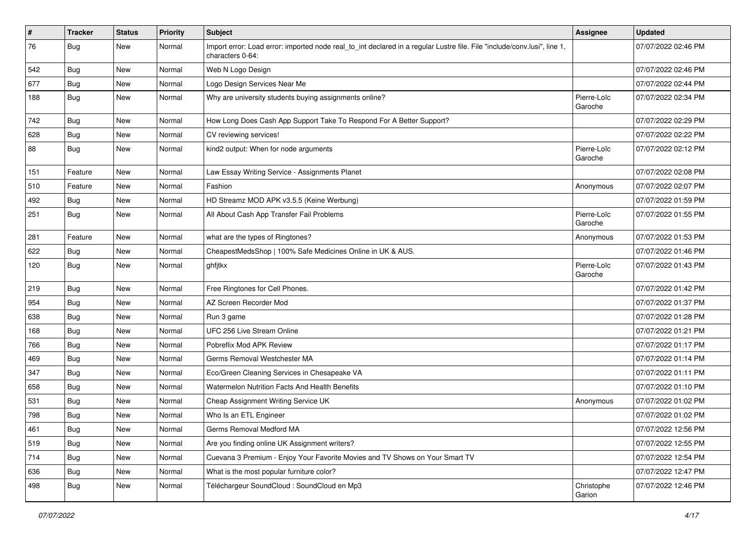| #   | <b>Tracker</b> | <b>Status</b> | Priority | Subject                                                                                                                                      | <b>Assignee</b>        | <b>Updated</b>      |
|-----|----------------|---------------|----------|----------------------------------------------------------------------------------------------------------------------------------------------|------------------------|---------------------|
| 76  | <b>Bug</b>     | New           | Normal   | Import error: Load error: imported node real_to_int declared in a regular Lustre file. File "include/conv.lusi", line 1,<br>characters 0-64: |                        | 07/07/2022 02:46 PM |
| 542 | Bug            | New           | Normal   | Web N Logo Design                                                                                                                            |                        | 07/07/2022 02:46 PM |
| 677 | <b>Bug</b>     | New           | Normal   | Logo Design Services Near Me                                                                                                                 |                        | 07/07/2022 02:44 PM |
| 188 | <b>Bug</b>     | New           | Normal   | Why are university students buying assignments online?                                                                                       | Pierre-Loïc<br>Garoche | 07/07/2022 02:34 PM |
| 742 | Bug            | New           | Normal   | How Long Does Cash App Support Take To Respond For A Better Support?                                                                         |                        | 07/07/2022 02:29 PM |
| 628 | Bug            | New           | Normal   | CV reviewing services!                                                                                                                       |                        | 07/07/2022 02:22 PM |
| 88  | <b>Bug</b>     | New           | Normal   | kind2 output: When for node arguments                                                                                                        | Pierre-Loïc<br>Garoche | 07/07/2022 02:12 PM |
| 151 | Feature        | New           | Normal   | Law Essay Writing Service - Assignments Planet                                                                                               |                        | 07/07/2022 02:08 PM |
| 510 | Feature        | New           | Normal   | Fashion                                                                                                                                      | Anonymous              | 07/07/2022 02:07 PM |
| 492 | <b>Bug</b>     | New           | Normal   | HD Streamz MOD APK v3.5.5 (Keine Werbung)                                                                                                    |                        | 07/07/2022 01:59 PM |
| 251 | Bug            | New           | Normal   | All About Cash App Transfer Fail Problems                                                                                                    | Pierre-Loïc<br>Garoche | 07/07/2022 01:55 PM |
| 281 | Feature        | New           | Normal   | what are the types of Ringtones?                                                                                                             | Anonymous              | 07/07/2022 01:53 PM |
| 622 | <b>Bug</b>     | New           | Normal   | CheapestMedsShop   100% Safe Medicines Online in UK & AUS.                                                                                   |                        | 07/07/2022 01:46 PM |
| 120 | <b>Bug</b>     | New           | Normal   | ghfjtkx                                                                                                                                      | Pierre-Loïc<br>Garoche | 07/07/2022 01:43 PM |
| 219 | Bug            | New           | Normal   | Free Ringtones for Cell Phones.                                                                                                              |                        | 07/07/2022 01:42 PM |
| 954 | Bug            | New           | Normal   | AZ Screen Recorder Mod                                                                                                                       |                        | 07/07/2022 01:37 PM |
| 638 | <b>Bug</b>     | New           | Normal   | Run 3 game                                                                                                                                   |                        | 07/07/2022 01:28 PM |
| 168 | Bug            | New           | Normal   | UFC 256 Live Stream Online                                                                                                                   |                        | 07/07/2022 01:21 PM |
| 766 | Bug            | New           | Normal   | Pobreflix Mod APK Review                                                                                                                     |                        | 07/07/2022 01:17 PM |
| 469 | <b>Bug</b>     | New           | Normal   | Germs Removal Westchester MA                                                                                                                 |                        | 07/07/2022 01:14 PM |
| 347 | Bug            | New           | Normal   | Eco/Green Cleaning Services in Chesapeake VA                                                                                                 |                        | 07/07/2022 01:11 PM |
| 658 | Bug            | New           | Normal   | Watermelon Nutrition Facts And Health Benefits                                                                                               |                        | 07/07/2022 01:10 PM |
| 531 | <b>Bug</b>     | New           | Normal   | Cheap Assignment Writing Service UK                                                                                                          | Anonymous              | 07/07/2022 01:02 PM |
| 798 | <b>Bug</b>     | New           | Normal   | Who Is an ETL Engineer                                                                                                                       |                        | 07/07/2022 01:02 PM |
| 461 | Bug            | New           | Normal   | Germs Removal Medford MA                                                                                                                     |                        | 07/07/2022 12:56 PM |
| 519 | Bug            | New           | Normal   | Are you finding online UK Assignment writers?                                                                                                |                        | 07/07/2022 12:55 PM |
| 714 | Bug            | New           | Normal   | Cuevana 3 Premium - Enjoy Your Favorite Movies and TV Shows on Your Smart TV                                                                 |                        | 07/07/2022 12:54 PM |
| 636 | Bug            | New           | Normal   | What is the most popular furniture color?                                                                                                    |                        | 07/07/2022 12:47 PM |
| 498 | Bug            | New           | Normal   | Téléchargeur SoundCloud : SoundCloud en Mp3                                                                                                  | Christophe<br>Garion   | 07/07/2022 12:46 PM |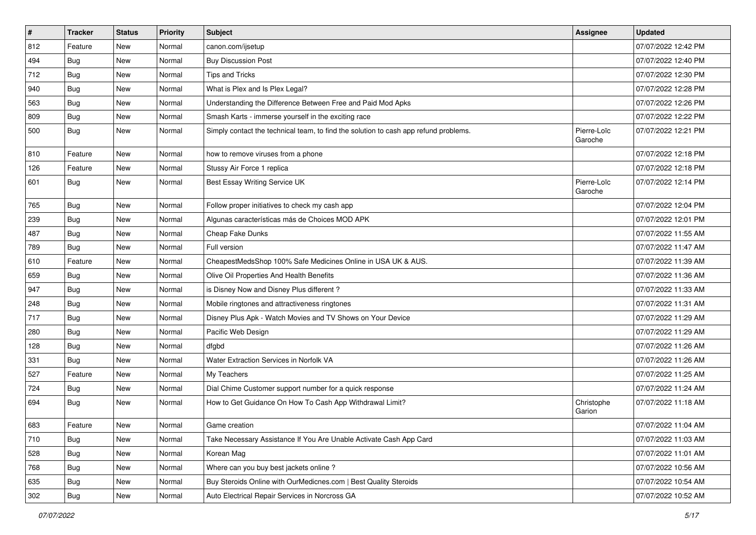| $\vert$ # | <b>Tracker</b> | <b>Status</b> | <b>Priority</b> | <b>Subject</b>                                                                       | <b>Assignee</b>        | <b>Updated</b>      |
|-----------|----------------|---------------|-----------------|--------------------------------------------------------------------------------------|------------------------|---------------------|
| 812       | Feature        | New           | Normal          | canon.com/ijsetup                                                                    |                        | 07/07/2022 12:42 PM |
| 494       | <b>Bug</b>     | New           | Normal          | <b>Buy Discussion Post</b>                                                           |                        | 07/07/2022 12:40 PM |
| 712       | <b>Bug</b>     | New           | Normal          | <b>Tips and Tricks</b>                                                               |                        | 07/07/2022 12:30 PM |
| 940       | <b>Bug</b>     | New           | Normal          | What is Plex and Is Plex Legal?                                                      |                        | 07/07/2022 12:28 PM |
| 563       | <b>Bug</b>     | New           | Normal          | Understanding the Difference Between Free and Paid Mod Apks                          |                        | 07/07/2022 12:26 PM |
| 809       | <b>Bug</b>     | New           | Normal          | Smash Karts - immerse yourself in the exciting race                                  |                        | 07/07/2022 12:22 PM |
| 500       | <b>Bug</b>     | New           | Normal          | Simply contact the technical team, to find the solution to cash app refund problems. | Pierre-Loïc<br>Garoche | 07/07/2022 12:21 PM |
| 810       | Feature        | New           | Normal          | how to remove viruses from a phone                                                   |                        | 07/07/2022 12:18 PM |
| 126       | Feature        | <b>New</b>    | Normal          | Stussy Air Force 1 replica                                                           |                        | 07/07/2022 12:18 PM |
| 601       | Bug            | New           | Normal          | Best Essay Writing Service UK                                                        | Pierre-Loïc<br>Garoche | 07/07/2022 12:14 PM |
| 765       | Bug            | New           | Normal          | Follow proper initiatives to check my cash app                                       |                        | 07/07/2022 12:04 PM |
| 239       | <b>Bug</b>     | New           | Normal          | Algunas características más de Choices MOD APK                                       |                        | 07/07/2022 12:01 PM |
| 487       | <b>Bug</b>     | New           | Normal          | Cheap Fake Dunks                                                                     |                        | 07/07/2022 11:55 AM |
| 789       | <b>Bug</b>     | New           | Normal          | Full version                                                                         |                        | 07/07/2022 11:47 AM |
| 610       | Feature        | New           | Normal          | CheapestMedsShop 100% Safe Medicines Online in USA UK & AUS.                         |                        | 07/07/2022 11:39 AM |
| 659       | Bug            | New           | Normal          | Olive Oil Properties And Health Benefits                                             |                        | 07/07/2022 11:36 AM |
| 947       | <b>Bug</b>     | New           | Normal          | is Disney Now and Disney Plus different?                                             |                        | 07/07/2022 11:33 AM |
| 248       | <b>Bug</b>     | New           | Normal          | Mobile ringtones and attractiveness ringtones                                        |                        | 07/07/2022 11:31 AM |
| 717       | Bug            | New           | Normal          | Disney Plus Apk - Watch Movies and TV Shows on Your Device                           |                        | 07/07/2022 11:29 AM |
| 280       | <b>Bug</b>     | New           | Normal          | Pacific Web Design                                                                   |                        | 07/07/2022 11:29 AM |
| 128       | <b>Bug</b>     | New           | Normal          | dfgbd                                                                                |                        | 07/07/2022 11:26 AM |
| 331       | <b>Bug</b>     | New           | Normal          | <b>Water Extraction Services in Norfolk VA</b>                                       |                        | 07/07/2022 11:26 AM |
| 527       | Feature        | New           | Normal          | My Teachers                                                                          |                        | 07/07/2022 11:25 AM |
| 724       | Bug            | New           | Normal          | Dial Chime Customer support number for a quick response                              |                        | 07/07/2022 11:24 AM |
| 694       | <b>Bug</b>     | New           | Normal          | How to Get Guidance On How To Cash App Withdrawal Limit?                             | Christophe<br>Garion   | 07/07/2022 11:18 AM |
| 683       | Feature        | New           | Normal          | Game creation                                                                        |                        | 07/07/2022 11:04 AM |
| 710       | <b>Bug</b>     | New           | Normal          | Take Necessary Assistance If You Are Unable Activate Cash App Card                   |                        | 07/07/2022 11:03 AM |
| 528       | Bug            | New           | Normal          | Korean Mag                                                                           |                        | 07/07/2022 11:01 AM |
| 768       | <b>Bug</b>     | New           | Normal          | Where can you buy best jackets online?                                               |                        | 07/07/2022 10:56 AM |
| 635       | Bug            | New           | Normal          | Buy Steroids Online with OurMedicnes.com   Best Quality Steroids                     |                        | 07/07/2022 10:54 AM |
| 302       | Bug            | New           | Normal          | Auto Electrical Repair Services in Norcross GA                                       |                        | 07/07/2022 10:52 AM |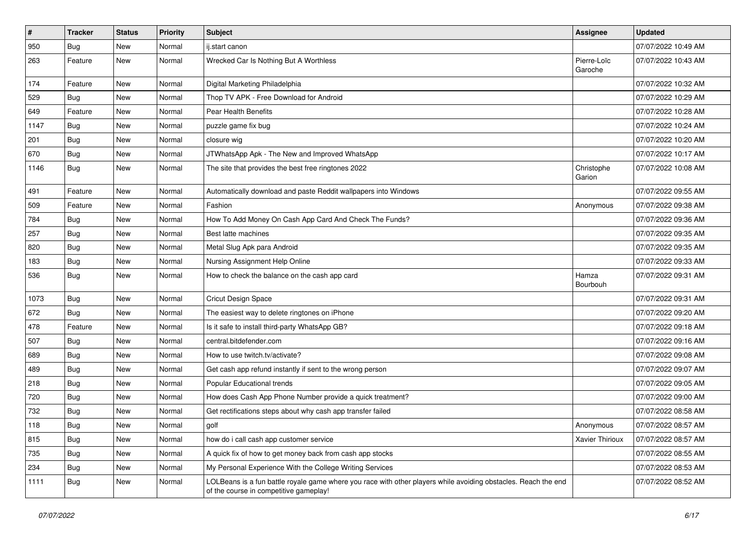| #    | <b>Tracker</b> | <b>Status</b> | <b>Priority</b> | Subject                                                                                                                                                  | <b>Assignee</b>        | <b>Updated</b>      |
|------|----------------|---------------|-----------------|----------------------------------------------------------------------------------------------------------------------------------------------------------|------------------------|---------------------|
| 950  | <b>Bug</b>     | New           | Normal          | ij.start canon                                                                                                                                           |                        | 07/07/2022 10:49 AM |
| 263  | Feature        | New           | Normal          | Wrecked Car Is Nothing But A Worthless                                                                                                                   | Pierre-Loïc<br>Garoche | 07/07/2022 10:43 AM |
| 174  | Feature        | New           | Normal          | Digital Marketing Philadelphia                                                                                                                           |                        | 07/07/2022 10:32 AM |
| 529  | Bug            | New           | Normal          | Thop TV APK - Free Download for Android                                                                                                                  |                        | 07/07/2022 10:29 AM |
| 649  | Feature        | New           | Normal          | Pear Health Benefits                                                                                                                                     |                        | 07/07/2022 10:28 AM |
| 1147 | <b>Bug</b>     | New           | Normal          | puzzle game fix bug                                                                                                                                      |                        | 07/07/2022 10:24 AM |
| 201  | <b>Bug</b>     | New           | Normal          | closure wig                                                                                                                                              |                        | 07/07/2022 10:20 AM |
| 670  | <b>Bug</b>     | New           | Normal          | JTWhatsApp Apk - The New and Improved WhatsApp                                                                                                           |                        | 07/07/2022 10:17 AM |
| 1146 | Bug            | New           | Normal          | The site that provides the best free ringtones 2022                                                                                                      | Christophe<br>Garion   | 07/07/2022 10:08 AM |
| 491  | Feature        | New           | Normal          | Automatically download and paste Reddit wallpapers into Windows                                                                                          |                        | 07/07/2022 09:55 AM |
| 509  | Feature        | New           | Normal          | Fashion                                                                                                                                                  | Anonymous              | 07/07/2022 09:38 AM |
| 784  | <b>Bug</b>     | New           | Normal          | How To Add Money On Cash App Card And Check The Funds?                                                                                                   |                        | 07/07/2022 09:36 AM |
| 257  | Bug            | New           | Normal          | Best latte machines                                                                                                                                      |                        | 07/07/2022 09:35 AM |
| 820  | <b>Bug</b>     | New           | Normal          | Metal Slug Apk para Android                                                                                                                              |                        | 07/07/2022 09:35 AM |
| 183  | <b>Bug</b>     | New           | Normal          | Nursing Assignment Help Online                                                                                                                           |                        | 07/07/2022 09:33 AM |
| 536  | Bug            | New           | Normal          | How to check the balance on the cash app card                                                                                                            | Hamza<br>Bourbouh      | 07/07/2022 09:31 AM |
| 1073 | <b>Bug</b>     | New           | Normal          | Cricut Design Space                                                                                                                                      |                        | 07/07/2022 09:31 AM |
| 672  | Bug            | New           | Normal          | The easiest way to delete ringtones on iPhone                                                                                                            |                        | 07/07/2022 09:20 AM |
| 478  | Feature        | New           | Normal          | Is it safe to install third-party WhatsApp GB?                                                                                                           |                        | 07/07/2022 09:18 AM |
| 507  | <b>Bug</b>     | New           | Normal          | central.bitdefender.com                                                                                                                                  |                        | 07/07/2022 09:16 AM |
| 689  | Bug            | New           | Normal          | How to use twitch.tv/activate?                                                                                                                           |                        | 07/07/2022 09:08 AM |
| 489  | <b>Bug</b>     | New           | Normal          | Get cash app refund instantly if sent to the wrong person                                                                                                |                        | 07/07/2022 09:07 AM |
| 218  | Bug            | New           | Normal          | Popular Educational trends                                                                                                                               |                        | 07/07/2022 09:05 AM |
| 720  | <b>Bug</b>     | New           | Normal          | How does Cash App Phone Number provide a quick treatment?                                                                                                |                        | 07/07/2022 09:00 AM |
| 732  | <b>Bug</b>     | New           | Normal          | Get rectifications steps about why cash app transfer failed                                                                                              |                        | 07/07/2022 08:58 AM |
| 118  | <b>Bug</b>     | New           | Normal          | golf                                                                                                                                                     | Anonymous              | 07/07/2022 08:57 AM |
| 815  | <b>Bug</b>     | New           | Normal          | how do i call cash app customer service                                                                                                                  | Xavier Thirioux        | 07/07/2022 08:57 AM |
| 735  | <b>Bug</b>     | New           | Normal          | A quick fix of how to get money back from cash app stocks                                                                                                |                        | 07/07/2022 08:55 AM |
| 234  | <b>Bug</b>     | New           | Normal          | My Personal Experience With the College Writing Services                                                                                                 |                        | 07/07/2022 08:53 AM |
| 1111 | <b>Bug</b>     | New           | Normal          | LOLBeans is a fun battle royale game where you race with other players while avoiding obstacles. Reach the end<br>of the course in competitive gameplay! |                        | 07/07/2022 08:52 AM |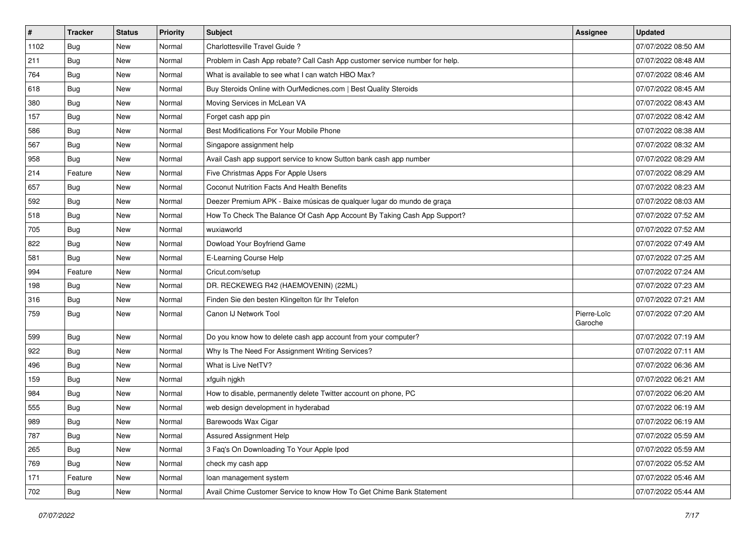| $\vert$ # | <b>Tracker</b> | <b>Status</b> | Priority | Subject                                                                     | <b>Assignee</b>        | <b>Updated</b>      |
|-----------|----------------|---------------|----------|-----------------------------------------------------------------------------|------------------------|---------------------|
| 1102      | <b>Bug</b>     | New           | Normal   | Charlottesville Travel Guide?                                               |                        | 07/07/2022 08:50 AM |
| 211       | Bug            | New           | Normal   | Problem in Cash App rebate? Call Cash App customer service number for help. |                        | 07/07/2022 08:48 AM |
| 764       | Bug            | New           | Normal   | What is available to see what I can watch HBO Max?                          |                        | 07/07/2022 08:46 AM |
| 618       | <b>Bug</b>     | New           | Normal   | Buy Steroids Online with OurMedicnes.com   Best Quality Steroids            |                        | 07/07/2022 08:45 AM |
| 380       | Bug            | New           | Normal   | Moving Services in McLean VA                                                |                        | 07/07/2022 08:43 AM |
| 157       | <b>Bug</b>     | New           | Normal   | Forget cash app pin                                                         |                        | 07/07/2022 08:42 AM |
| 586       | <b>Bug</b>     | New           | Normal   | Best Modifications For Your Mobile Phone                                    |                        | 07/07/2022 08:38 AM |
| 567       | Bug            | New           | Normal   | Singapore assignment help                                                   |                        | 07/07/2022 08:32 AM |
| 958       | Bug            | New           | Normal   | Avail Cash app support service to know Sutton bank cash app number          |                        | 07/07/2022 08:29 AM |
| 214       | Feature        | New           | Normal   | Five Christmas Apps For Apple Users                                         |                        | 07/07/2022 08:29 AM |
| 657       | <b>Bug</b>     | New           | Normal   | Coconut Nutrition Facts And Health Benefits                                 |                        | 07/07/2022 08:23 AM |
| 592       | <b>Bug</b>     | <b>New</b>    | Normal   | Deezer Premium APK - Baixe músicas de qualquer lugar do mundo de graça      |                        | 07/07/2022 08:03 AM |
| 518       | Bug            | New           | Normal   | How To Check The Balance Of Cash App Account By Taking Cash App Support?    |                        | 07/07/2022 07:52 AM |
| 705       | <b>Bug</b>     | New           | Normal   | wuxiaworld                                                                  |                        | 07/07/2022 07:52 AM |
| 822       | <b>Bug</b>     | New           | Normal   | Dowload Your Boyfriend Game                                                 |                        | 07/07/2022 07:49 AM |
| 581       | <b>Bug</b>     | New           | Normal   | E-Learning Course Help                                                      |                        | 07/07/2022 07:25 AM |
| 994       | Feature        | New           | Normal   | Cricut.com/setup                                                            |                        | 07/07/2022 07:24 AM |
| 198       | Bug            | New           | Normal   | DR. RECKEWEG R42 (HAEMOVENIN) (22ML)                                        |                        | 07/07/2022 07:23 AM |
| 316       | <b>Bug</b>     | New           | Normal   | Finden Sie den besten Klingelton für Ihr Telefon                            |                        | 07/07/2022 07:21 AM |
| 759       | <b>Bug</b>     | New           | Normal   | Canon IJ Network Tool                                                       | Pierre-Loïc<br>Garoche | 07/07/2022 07:20 AM |
| 599       | Bug            | New           | Normal   | Do you know how to delete cash app account from your computer?              |                        | 07/07/2022 07:19 AM |
| 922       | Bug            | New           | Normal   | Why Is The Need For Assignment Writing Services?                            |                        | 07/07/2022 07:11 AM |
| 496       | <b>Bug</b>     | New           | Normal   | What is Live NetTV?                                                         |                        | 07/07/2022 06:36 AM |
| 159       | <b>Bug</b>     | New           | Normal   | xfguih njgkh                                                                |                        | 07/07/2022 06:21 AM |
| 984       | Bug            | New           | Normal   | How to disable, permanently delete Twitter account on phone, PC             |                        | 07/07/2022 06:20 AM |
| 555       | <b>Bug</b>     | New           | Normal   | web design development in hyderabad                                         |                        | 07/07/2022 06:19 AM |
| 989       | Bug            | New           | Normal   | Barewoods Wax Cigar                                                         |                        | 07/07/2022 06:19 AM |
| 787       | Bug            | New           | Normal   | Assured Assignment Help                                                     |                        | 07/07/2022 05:59 AM |
| 265       | Bug            | New           | Normal   | 3 Faq's On Downloading To Your Apple Ipod                                   |                        | 07/07/2022 05:59 AM |
| 769       | <b>Bug</b>     | New           | Normal   | check my cash app                                                           |                        | 07/07/2022 05:52 AM |
| 171       | Feature        | New           | Normal   | loan management system                                                      |                        | 07/07/2022 05:46 AM |
| 702       | <b>Bug</b>     | New           | Normal   | Avail Chime Customer Service to know How To Get Chime Bank Statement        |                        | 07/07/2022 05:44 AM |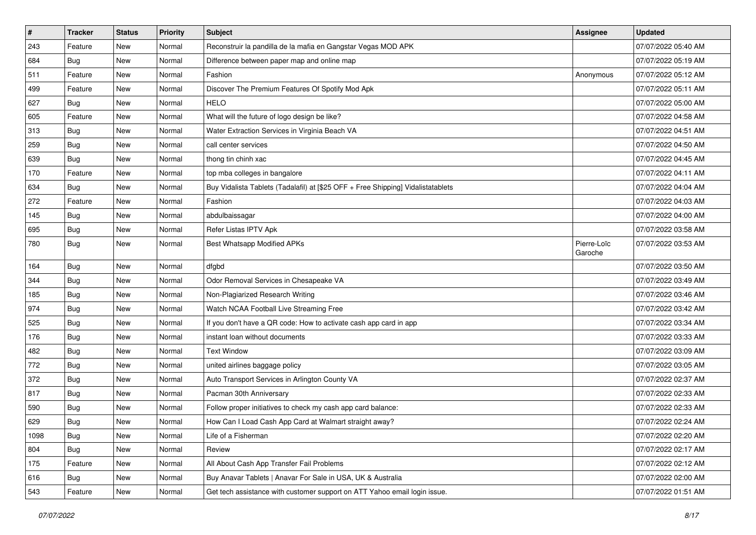| $\sharp$ | <b>Tracker</b> | <b>Status</b> | <b>Priority</b> | <b>Subject</b>                                                                   | <b>Assignee</b>        | <b>Updated</b>      |
|----------|----------------|---------------|-----------------|----------------------------------------------------------------------------------|------------------------|---------------------|
| 243      | Feature        | New           | Normal          | Reconstruir la pandilla de la mafia en Gangstar Vegas MOD APK                    |                        | 07/07/2022 05:40 AM |
| 684      | <b>Bug</b>     | New           | Normal          | Difference between paper map and online map                                      |                        | 07/07/2022 05:19 AM |
| 511      | Feature        | New           | Normal          | Fashion                                                                          | Anonymous              | 07/07/2022 05:12 AM |
| 499      | Feature        | <b>New</b>    | Normal          | Discover The Premium Features Of Spotify Mod Apk                                 |                        | 07/07/2022 05:11 AM |
| 627      | Bug            | New           | Normal          | <b>HELO</b>                                                                      |                        | 07/07/2022 05:00 AM |
| 605      | Feature        | New           | Normal          | What will the future of logo design be like?                                     |                        | 07/07/2022 04:58 AM |
| 313      | Bug            | New           | Normal          | Water Extraction Services in Virginia Beach VA                                   |                        | 07/07/2022 04:51 AM |
| 259      | <b>Bug</b>     | New           | Normal          | call center services                                                             |                        | 07/07/2022 04:50 AM |
| 639      | Bug            | New           | Normal          | thong tin chinh xac                                                              |                        | 07/07/2022 04:45 AM |
| 170      | Feature        | <b>New</b>    | Normal          | top mba colleges in bangalore                                                    |                        | 07/07/2022 04:11 AM |
| 634      | <b>Bug</b>     | New           | Normal          | Buy Vidalista Tablets (Tadalafil) at [\$25 OFF + Free Shipping] Vidalistatablets |                        | 07/07/2022 04:04 AM |
| 272      | Feature        | New           | Normal          | Fashion                                                                          |                        | 07/07/2022 04:03 AM |
| 145      | Bug            | New           | Normal          | abdulbaissagar                                                                   |                        | 07/07/2022 04:00 AM |
| 695      | <b>Bug</b>     | New           | Normal          | Refer Listas IPTV Apk                                                            |                        | 07/07/2022 03:58 AM |
| 780      | <b>Bug</b>     | New           | Normal          | <b>Best Whatsapp Modified APKs</b>                                               | Pierre-Loïc<br>Garoche | 07/07/2022 03:53 AM |
| 164      | Bug            | <b>New</b>    | Normal          | dfgbd                                                                            |                        | 07/07/2022 03:50 AM |
| 344      | Bug            | New           | Normal          | Odor Removal Services in Chesapeake VA                                           |                        | 07/07/2022 03:49 AM |
| 185      | <b>Bug</b>     | New           | Normal          | Non-Plagiarized Research Writing                                                 |                        | 07/07/2022 03:46 AM |
| 974      | Bug            | New           | Normal          | Watch NCAA Football Live Streaming Free                                          |                        | 07/07/2022 03:42 AM |
| 525      | Bug            | New           | Normal          | If you don't have a QR code: How to activate cash app card in app                |                        | 07/07/2022 03:34 AM |
| 176      | <b>Bug</b>     | New           | Normal          | instant loan without documents                                                   |                        | 07/07/2022 03:33 AM |
| 482      | Bug            | New           | Normal          | <b>Text Window</b>                                                               |                        | 07/07/2022 03:09 AM |
| 772      | Bug            | New           | Normal          | united airlines baggage policy                                                   |                        | 07/07/2022 03:05 AM |
| 372      | Bug            | New           | Normal          | Auto Transport Services in Arlington County VA                                   |                        | 07/07/2022 02:37 AM |
| 817      | <b>Bug</b>     | <b>New</b>    | Normal          | Pacman 30th Anniversary                                                          |                        | 07/07/2022 02:33 AM |
| 590      | <b>Bug</b>     | New           | Normal          | Follow proper initiatives to check my cash app card balance:                     |                        | 07/07/2022 02:33 AM |
| 629      | <b>Bug</b>     | <b>New</b>    | Normal          | How Can I Load Cash App Card at Walmart straight away?                           |                        | 07/07/2022 02:24 AM |
| 1098     | <b>Bug</b>     | New           | Normal          | Life of a Fisherman                                                              |                        | 07/07/2022 02:20 AM |
| 804      | <b>Bug</b>     | New           | Normal          | Review                                                                           |                        | 07/07/2022 02:17 AM |
| 175      | Feature        | New           | Normal          | All About Cash App Transfer Fail Problems                                        |                        | 07/07/2022 02:12 AM |
| 616      | <b>Bug</b>     | New           | Normal          | Buy Anavar Tablets   Anavar For Sale in USA, UK & Australia                      |                        | 07/07/2022 02:00 AM |
| 543      | Feature        | New           | Normal          | Get tech assistance with customer support on ATT Yahoo email login issue.        |                        | 07/07/2022 01:51 AM |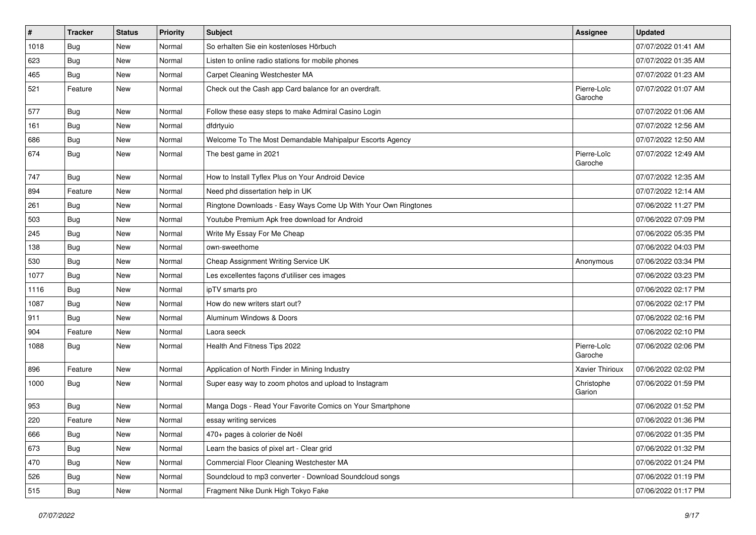| $\vert$ # | <b>Tracker</b> | <b>Status</b> | <b>Priority</b> | <b>Subject</b>                                                 | <b>Assignee</b>        | <b>Updated</b>      |
|-----------|----------------|---------------|-----------------|----------------------------------------------------------------|------------------------|---------------------|
| 1018      | <b>Bug</b>     | New           | Normal          | So erhalten Sie ein kostenloses Hörbuch                        |                        | 07/07/2022 01:41 AM |
| 623       | Bug            | <b>New</b>    | Normal          | Listen to online radio stations for mobile phones              |                        | 07/07/2022 01:35 AM |
| 465       | <b>Bug</b>     | New           | Normal          | Carpet Cleaning Westchester MA                                 |                        | 07/07/2022 01:23 AM |
| 521       | Feature        | New           | Normal          | Check out the Cash app Card balance for an overdraft.          | Pierre-Loïc<br>Garoche | 07/07/2022 01:07 AM |
| 577       | <b>Bug</b>     | New           | Normal          | Follow these easy steps to make Admiral Casino Login           |                        | 07/07/2022 01:06 AM |
| 161       | Bug            | New           | Normal          | dfdrtyuio                                                      |                        | 07/07/2022 12:56 AM |
| 686       | Bug            | New           | Normal          | Welcome To The Most Demandable Mahipalpur Escorts Agency       |                        | 07/07/2022 12:50 AM |
| 674       | <b>Bug</b>     | New           | Normal          | The best game in 2021                                          | Pierre-Loïc<br>Garoche | 07/07/2022 12:49 AM |
| 747       | Bug            | New           | Normal          | How to Install Tyflex Plus on Your Android Device              |                        | 07/07/2022 12:35 AM |
| 894       | Feature        | New           | Normal          | Need phd dissertation help in UK                               |                        | 07/07/2022 12:14 AM |
| 261       | Bug            | New           | Normal          | Ringtone Downloads - Easy Ways Come Up With Your Own Ringtones |                        | 07/06/2022 11:27 PM |
| 503       | Bug            | New           | Normal          | Youtube Premium Apk free download for Android                  |                        | 07/06/2022 07:09 PM |
| 245       | Bug            | New           | Normal          | Write My Essay For Me Cheap                                    |                        | 07/06/2022 05:35 PM |
| 138       | <b>Bug</b>     | New           | Normal          | own-sweethome                                                  |                        | 07/06/2022 04:03 PM |
| 530       | Bug            | New           | Normal          | Cheap Assignment Writing Service UK                            | Anonymous              | 07/06/2022 03:34 PM |
| 1077      | Bug            | New           | Normal          | Les excellentes façons d'utiliser ces images                   |                        | 07/06/2022 03:23 PM |
| 1116      | Bug            | New           | Normal          | ipTV smarts pro                                                |                        | 07/06/2022 02:17 PM |
| 1087      | Bug            | New           | Normal          | How do new writers start out?                                  |                        | 07/06/2022 02:17 PM |
| 911       | Bug            | <b>New</b>    | Normal          | Aluminum Windows & Doors                                       |                        | 07/06/2022 02:16 PM |
| 904       | Feature        | New           | Normal          | Laora seeck                                                    |                        | 07/06/2022 02:10 PM |
| 1088      | Bug            | New           | Normal          | Health And Fitness Tips 2022                                   | Pierre-Loïc<br>Garoche | 07/06/2022 02:06 PM |
| 896       | Feature        | New           | Normal          | Application of North Finder in Mining Industry                 | Xavier Thirioux        | 07/06/2022 02:02 PM |
| 1000      | Bug            | New           | Normal          | Super easy way to zoom photos and upload to Instagram          | Christophe<br>Garion   | 07/06/2022 01:59 PM |
| 953       | Bug            | New           | Normal          | Manga Dogs - Read Your Favorite Comics on Your Smartphone      |                        | 07/06/2022 01:52 PM |
| 220       | Feature        | New           | Normal          | essay writing services                                         |                        | 07/06/2022 01:36 PM |
| 666       | <b>Bug</b>     | New           | Normal          | 470+ pages à colorier de Noël                                  |                        | 07/06/2022 01:35 PM |
| 673       | Bug            | New           | Normal          | Learn the basics of pixel art - Clear grid                     |                        | 07/06/2022 01:32 PM |
| 470       | <b>Bug</b>     | New           | Normal          | Commercial Floor Cleaning Westchester MA                       |                        | 07/06/2022 01:24 PM |
| 526       | <b>Bug</b>     | New           | Normal          | Soundcloud to mp3 converter - Download Soundcloud songs        |                        | 07/06/2022 01:19 PM |
| 515       | Bug            | New           | Normal          | Fragment Nike Dunk High Tokyo Fake                             |                        | 07/06/2022 01:17 PM |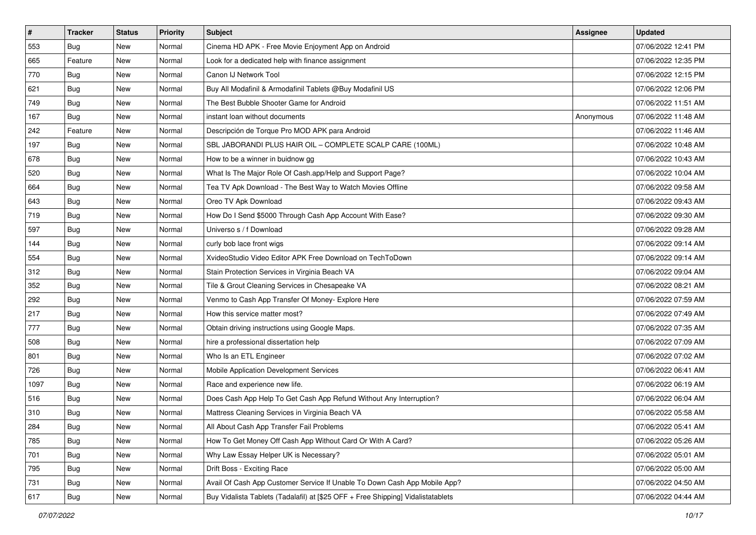| $\vert$ # | <b>Tracker</b> | <b>Status</b> | <b>Priority</b> | <b>Subject</b>                                                                   | <b>Assignee</b> | <b>Updated</b>      |
|-----------|----------------|---------------|-----------------|----------------------------------------------------------------------------------|-----------------|---------------------|
| 553       | <b>Bug</b>     | New           | Normal          | Cinema HD APK - Free Movie Enjoyment App on Android                              |                 | 07/06/2022 12:41 PM |
| 665       | Feature        | <b>New</b>    | Normal          | Look for a dedicated help with finance assignment                                |                 | 07/06/2022 12:35 PM |
| 770       | <b>Bug</b>     | New           | Normal          | Canon IJ Network Tool                                                            |                 | 07/06/2022 12:15 PM |
| 621       | Bug            | New           | Normal          | Buy All Modafinil & Armodafinil Tablets @Buy Modafinil US                        |                 | 07/06/2022 12:06 PM |
| 749       | <b>Bug</b>     | New           | Normal          | The Best Bubble Shooter Game for Android                                         |                 | 07/06/2022 11:51 AM |
| 167       | <b>Bug</b>     | New           | Normal          | instant loan without documents                                                   | Anonymous       | 07/06/2022 11:48 AM |
| 242       | Feature        | New           | Normal          | Descripción de Torque Pro MOD APK para Android                                   |                 | 07/06/2022 11:46 AM |
| 197       | <b>Bug</b>     | New           | Normal          | SBL JABORANDI PLUS HAIR OIL - COMPLETE SCALP CARE (100ML)                        |                 | 07/06/2022 10:48 AM |
| 678       | <b>Bug</b>     | New           | Normal          | How to be a winner in buidnow gg                                                 |                 | 07/06/2022 10:43 AM |
| 520       | Bug            | New           | Normal          | What Is The Major Role Of Cash.app/Help and Support Page?                        |                 | 07/06/2022 10:04 AM |
| 664       | <b>Bug</b>     | New           | Normal          | Tea TV Apk Download - The Best Way to Watch Movies Offline                       |                 | 07/06/2022 09:58 AM |
| 643       | <b>Bug</b>     | New           | Normal          | Oreo TV Apk Download                                                             |                 | 07/06/2022 09:43 AM |
| 719       | <b>Bug</b>     | New           | Normal          | How Do I Send \$5000 Through Cash App Account With Ease?                         |                 | 07/06/2022 09:30 AM |
| 597       | <b>Bug</b>     | New           | Normal          | Universo s / f Download                                                          |                 | 07/06/2022 09:28 AM |
| 144       | Bug            | New           | Normal          | curly bob lace front wigs                                                        |                 | 07/06/2022 09:14 AM |
| 554       | <b>Bug</b>     | New           | Normal          | XvideoStudio Video Editor APK Free Download on TechToDown                        |                 | 07/06/2022 09:14 AM |
| 312       | <b>Bug</b>     | New           | Normal          | Stain Protection Services in Virginia Beach VA                                   |                 | 07/06/2022 09:04 AM |
| 352       | Bug            | New           | Normal          | Tile & Grout Cleaning Services in Chesapeake VA                                  |                 | 07/06/2022 08:21 AM |
| 292       | Bug            | New           | Normal          | Venmo to Cash App Transfer Of Money- Explore Here                                |                 | 07/06/2022 07:59 AM |
| 217       | <b>Bug</b>     | New           | Normal          | How this service matter most?                                                    |                 | 07/06/2022 07:49 AM |
| 777       | <b>Bug</b>     | New           | Normal          | Obtain driving instructions using Google Maps.                                   |                 | 07/06/2022 07:35 AM |
| 508       | Bug            | <b>New</b>    | Normal          | hire a professional dissertation help                                            |                 | 07/06/2022 07:09 AM |
| 801       | Bug            | New           | Normal          | Who Is an ETL Engineer                                                           |                 | 07/06/2022 07:02 AM |
| 726       | <b>Bug</b>     | New           | Normal          | Mobile Application Development Services                                          |                 | 07/06/2022 06:41 AM |
| 1097      | <b>Bug</b>     | New           | Normal          | Race and experience new life.                                                    |                 | 07/06/2022 06:19 AM |
| 516       | Bug            | New           | Normal          | Does Cash App Help To Get Cash App Refund Without Any Interruption?              |                 | 07/06/2022 06:04 AM |
| 310       | <b>Bug</b>     | New           | Normal          | Mattress Cleaning Services in Virginia Beach VA                                  |                 | 07/06/2022 05:58 AM |
| 284       | <b>Bug</b>     | New           | Normal          | All About Cash App Transfer Fail Problems                                        |                 | 07/06/2022 05:41 AM |
| 785       | Bug            | New           | Normal          | How To Get Money Off Cash App Without Card Or With A Card?                       |                 | 07/06/2022 05:26 AM |
| 701       | <b>Bug</b>     | New           | Normal          | Why Law Essay Helper UK is Necessary?                                            |                 | 07/06/2022 05:01 AM |
| 795       | <b>Bug</b>     | New           | Normal          | Drift Boss - Exciting Race                                                       |                 | 07/06/2022 05:00 AM |
| 731       | <b>Bug</b>     | New           | Normal          | Avail Of Cash App Customer Service If Unable To Down Cash App Mobile App?        |                 | 07/06/2022 04:50 AM |
| 617       | Bug            | New           | Normal          | Buy Vidalista Tablets (Tadalafil) at [\$25 OFF + Free Shipping] Vidalistatablets |                 | 07/06/2022 04:44 AM |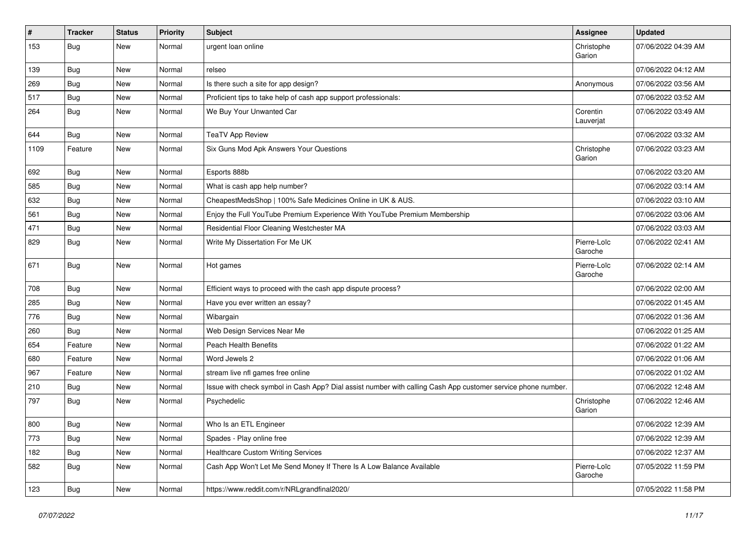| $\#$ | <b>Tracker</b> | <b>Status</b> | <b>Priority</b> | <b>Subject</b>                                                                                               | <b>Assignee</b>        | <b>Updated</b>      |
|------|----------------|---------------|-----------------|--------------------------------------------------------------------------------------------------------------|------------------------|---------------------|
| 153  | <b>Bug</b>     | New           | Normal          | urgent loan online                                                                                           | Christophe<br>Garion   | 07/06/2022 04:39 AM |
| 139  | Bug            | New           | Normal          | relseo                                                                                                       |                        | 07/06/2022 04:12 AM |
| 269  | <b>Bug</b>     | New           | Normal          | Is there such a site for app design?                                                                         | Anonymous              | 07/06/2022 03:56 AM |
| 517  | Bug            | New           | Normal          | Proficient tips to take help of cash app support professionals:                                              |                        | 07/06/2022 03:52 AM |
| 264  | Bug            | New           | Normal          | We Buy Your Unwanted Car                                                                                     | Corentin<br>Lauverjat  | 07/06/2022 03:49 AM |
| 644  | <b>Bug</b>     | New           | Normal          | <b>TeaTV App Review</b>                                                                                      |                        | 07/06/2022 03:32 AM |
| 1109 | Feature        | New           | Normal          | Six Guns Mod Apk Answers Your Questions                                                                      | Christophe<br>Garion   | 07/06/2022 03:23 AM |
| 692  | Bug            | New           | Normal          | Esports 888b                                                                                                 |                        | 07/06/2022 03:20 AM |
| 585  | <b>Bug</b>     | New           | Normal          | What is cash app help number?                                                                                |                        | 07/06/2022 03:14 AM |
| 632  | <b>Bug</b>     | New           | Normal          | CheapestMedsShop   100% Safe Medicines Online in UK & AUS.                                                   |                        | 07/06/2022 03:10 AM |
| 561  | <b>Bug</b>     | New           | Normal          | Enjoy the Full YouTube Premium Experience With YouTube Premium Membership                                    |                        | 07/06/2022 03:06 AM |
| 471  | <b>Bug</b>     | New           | Normal          | Residential Floor Cleaning Westchester MA                                                                    |                        | 07/06/2022 03:03 AM |
| 829  | <b>Bug</b>     | New           | Normal          | Write My Dissertation For Me UK                                                                              | Pierre-Loïc<br>Garoche | 07/06/2022 02:41 AM |
| 671  | <b>Bug</b>     | New           | Normal          | Hot games                                                                                                    | Pierre-Loïc<br>Garoche | 07/06/2022 02:14 AM |
| 708  | <b>Bug</b>     | New           | Normal          | Efficient ways to proceed with the cash app dispute process?                                                 |                        | 07/06/2022 02:00 AM |
| 285  | Bug            | New           | Normal          | Have you ever written an essay?                                                                              |                        | 07/06/2022 01:45 AM |
| 776  | <b>Bug</b>     | New           | Normal          | Wibargain                                                                                                    |                        | 07/06/2022 01:36 AM |
| 260  | <b>Bug</b>     | New           | Normal          | Web Design Services Near Me                                                                                  |                        | 07/06/2022 01:25 AM |
| 654  | Feature        | New           | Normal          | Peach Health Benefits                                                                                        |                        | 07/06/2022 01:22 AM |
| 680  | Feature        | New           | Normal          | Word Jewels 2                                                                                                |                        | 07/06/2022 01:06 AM |
| 967  | Feature        | New           | Normal          | stream live nfl games free online                                                                            |                        | 07/06/2022 01:02 AM |
| 210  | <b>Bug</b>     | New           | Normal          | Issue with check symbol in Cash App? Dial assist number with calling Cash App customer service phone number. |                        | 07/06/2022 12:48 AM |
| 797  | <b>Bug</b>     | New           | Normal          | Psychedelic                                                                                                  | Christophe<br>Garion   | 07/06/2022 12:46 AM |
| 800  | <b>Bug</b>     | New           | Normal          | Who Is an ETL Engineer                                                                                       |                        | 07/06/2022 12:39 AM |
| 773  | Bug            | New           | Normal          | Spades - Play online free                                                                                    |                        | 07/06/2022 12:39 AM |
| 182  | Bug            | New           | Normal          | <b>Healthcare Custom Writing Services</b>                                                                    |                        | 07/06/2022 12:37 AM |
| 582  | Bug            | New           | Normal          | Cash App Won't Let Me Send Money If There Is A Low Balance Available                                         | Pierre-Loïc<br>Garoche | 07/05/2022 11:59 PM |
| 123  | <b>Bug</b>     | New           | Normal          | https://www.reddit.com/r/NRLgrandfinal2020/                                                                  |                        | 07/05/2022 11:58 PM |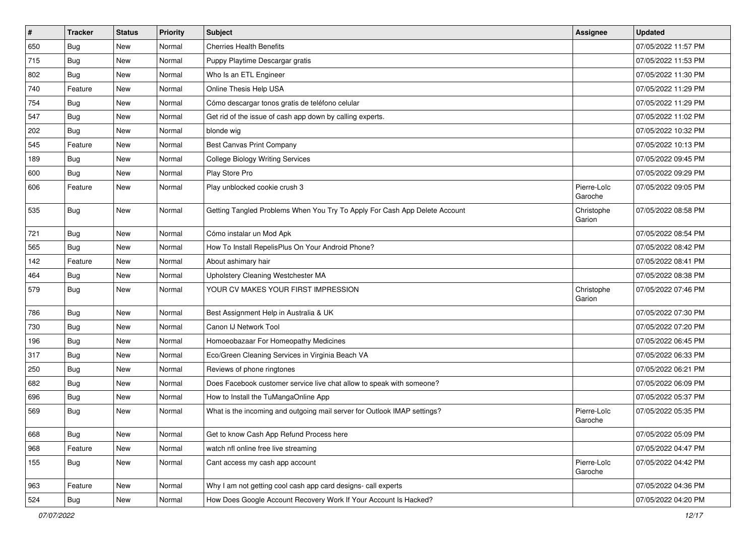| $\sharp$ | <b>Tracker</b> | <b>Status</b> | <b>Priority</b> | Subject                                                                    | <b>Assignee</b>        | <b>Updated</b>      |
|----------|----------------|---------------|-----------------|----------------------------------------------------------------------------|------------------------|---------------------|
| 650      | <b>Bug</b>     | New           | Normal          | <b>Cherries Health Benefits</b>                                            |                        | 07/05/2022 11:57 PM |
| 715      | <b>Bug</b>     | <b>New</b>    | Normal          | Puppy Playtime Descargar gratis                                            |                        | 07/05/2022 11:53 PM |
| 802      | Bug            | New           | Normal          | Who Is an ETL Engineer                                                     |                        | 07/05/2022 11:30 PM |
| 740      | Feature        | New           | Normal          | Online Thesis Help USA                                                     |                        | 07/05/2022 11:29 PM |
| 754      | Bug            | New           | Normal          | Cómo descargar tonos gratis de teléfono celular                            |                        | 07/05/2022 11:29 PM |
| 547      | <b>Bug</b>     | New           | Normal          | Get rid of the issue of cash app down by calling experts.                  |                        | 07/05/2022 11:02 PM |
| 202      | Bug            | New           | Normal          | blonde wig                                                                 |                        | 07/05/2022 10:32 PM |
| 545      | Feature        | New           | Normal          | <b>Best Canvas Print Company</b>                                           |                        | 07/05/2022 10:13 PM |
| 189      | <b>Bug</b>     | New           | Normal          | <b>College Biology Writing Services</b>                                    |                        | 07/05/2022 09:45 PM |
| 600      | Bug            | New           | Normal          | Play Store Pro                                                             |                        | 07/05/2022 09:29 PM |
| 606      | Feature        | New           | Normal          | Play unblocked cookie crush 3                                              | Pierre-Loïc<br>Garoche | 07/05/2022 09:05 PM |
| 535      | <b>Bug</b>     | <b>New</b>    | Normal          | Getting Tangled Problems When You Try To Apply For Cash App Delete Account | Christophe<br>Garion   | 07/05/2022 08:58 PM |
| 721      | Bug            | New           | Normal          | Cómo instalar un Mod Apk                                                   |                        | 07/05/2022 08:54 PM |
| 565      | <b>Bug</b>     | New           | Normal          | How To Install RepelisPlus On Your Android Phone?                          |                        | 07/05/2022 08:42 PM |
| 142      | Feature        | New           | Normal          | About ashimary hair                                                        |                        | 07/05/2022 08:41 PM |
| 464      | Bug            | <b>New</b>    | Normal          | Upholstery Cleaning Westchester MA                                         |                        | 07/05/2022 08:38 PM |
| 579      | <b>Bug</b>     | New           | Normal          | YOUR CV MAKES YOUR FIRST IMPRESSION                                        | Christophe<br>Garion   | 07/05/2022 07:46 PM |
| 786      | Bug            | New           | Normal          | Best Assignment Help in Australia & UK                                     |                        | 07/05/2022 07:30 PM |
| 730      | <b>Bug</b>     | New           | Normal          | Canon IJ Network Tool                                                      |                        | 07/05/2022 07:20 PM |
| 196      | <b>Bug</b>     | <b>New</b>    | Normal          | Homoeobazaar For Homeopathy Medicines                                      |                        | 07/05/2022 06:45 PM |
| 317      | Bug            | New           | Normal          | Eco/Green Cleaning Services in Virginia Beach VA                           |                        | 07/05/2022 06:33 PM |
| 250      | <b>Bug</b>     | <b>New</b>    | Normal          | Reviews of phone ringtones                                                 |                        | 07/05/2022 06:21 PM |
| 682      | Bug            | New           | Normal          | Does Facebook customer service live chat allow to speak with someone?      |                        | 07/05/2022 06:09 PM |
| 696      | <b>Bug</b>     | New           | Normal          | How to Install the TuMangaOnline App                                       |                        | 07/05/2022 05:37 PM |
| 569      | <b>Bug</b>     | New           | Normal          | What is the incoming and outgoing mail server for Outlook IMAP settings?   | Pierre-Loïc<br>Garoche | 07/05/2022 05:35 PM |
| 668      | Bug            | New           | Normal          | Get to know Cash App Refund Process here                                   |                        | 07/05/2022 05:09 PM |
| 968      | Feature        | New           | Normal          | watch nfl online free live streaming                                       |                        | 07/05/2022 04:47 PM |
| 155      | <b>Bug</b>     | New           | Normal          | Cant access my cash app account                                            | Pierre-Loïc<br>Garoche | 07/05/2022 04:42 PM |
| 963      | Feature        | New           | Normal          | Why I am not getting cool cash app card designs- call experts              |                        | 07/05/2022 04:36 PM |
| 524      | Bug            | New           | Normal          | How Does Google Account Recovery Work If Your Account Is Hacked?           |                        | 07/05/2022 04:20 PM |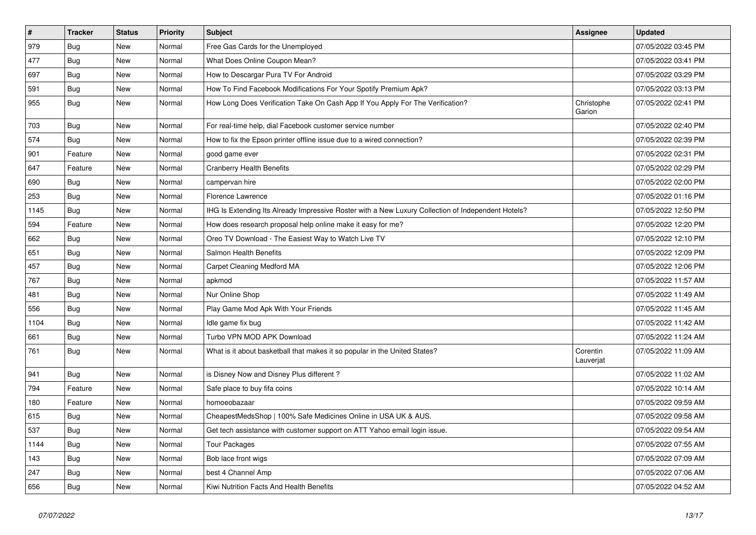| $\vert$ # | <b>Tracker</b> | <b>Status</b> | Priority | <b>Subject</b>                                                                                     | <b>Assignee</b>       | <b>Updated</b>      |
|-----------|----------------|---------------|----------|----------------------------------------------------------------------------------------------------|-----------------------|---------------------|
| 979       | <b>Bug</b>     | <b>New</b>    | Normal   | Free Gas Cards for the Unemployed                                                                  |                       | 07/05/2022 03:45 PM |
| 477       | <b>Bug</b>     | New           | Normal   | What Does Online Coupon Mean?                                                                      |                       | 07/05/2022 03:41 PM |
| 697       | Bug            | New           | Normal   | How to Descargar Pura TV For Android                                                               |                       | 07/05/2022 03:29 PM |
| 591       | Bug            | <b>New</b>    | Normal   | How To Find Facebook Modifications For Your Spotify Premium Apk?                                   |                       | 07/05/2022 03:13 PM |
| 955       | Bug            | <b>New</b>    | Normal   | How Long Does Verification Take On Cash App If You Apply For The Verification?                     | Christophe<br>Garion  | 07/05/2022 02:41 PM |
| 703       | Bug            | New           | Normal   | For real-time help, dial Facebook customer service number                                          |                       | 07/05/2022 02:40 PM |
| 574       | <b>Bug</b>     | New           | Normal   | How to fix the Epson printer offline issue due to a wired connection?                              |                       | 07/05/2022 02:39 PM |
| 901       | Feature        | New           | Normal   | good game ever                                                                                     |                       | 07/05/2022 02:31 PM |
| 647       | Feature        | New           | Normal   | <b>Cranberry Health Benefits</b>                                                                   |                       | 07/05/2022 02:29 PM |
| 690       | <b>Bug</b>     | New           | Normal   | campervan hire                                                                                     |                       | 07/05/2022 02:00 PM |
| 253       | Bug            | New           | Normal   | <b>Florence Lawrence</b>                                                                           |                       | 07/05/2022 01:16 PM |
| 1145      | <b>Bug</b>     | New           | Normal   | IHG Is Extending Its Already Impressive Roster with a New Luxury Collection of Independent Hotels? |                       | 07/05/2022 12:50 PM |
| 594       | Feature        | New           | Normal   | How does research proposal help online make it easy for me?                                        |                       | 07/05/2022 12:20 PM |
| 662       | Bug            | New           | Normal   | Oreo TV Download - The Easiest Way to Watch Live TV                                                |                       | 07/05/2022 12:10 PM |
| 651       | Bug            | New           | Normal   | Salmon Health Benefits                                                                             |                       | 07/05/2022 12:09 PM |
| 457       | <b>Bug</b>     | New           | Normal   | Carpet Cleaning Medford MA                                                                         |                       | 07/05/2022 12:06 PM |
| 767       | <b>Bug</b>     | New           | Normal   | apkmod                                                                                             |                       | 07/05/2022 11:57 AM |
| 481       | Bug            | New           | Normal   | Nur Online Shop                                                                                    |                       | 07/05/2022 11:49 AM |
| 556       | <b>Bug</b>     | New           | Normal   | Play Game Mod Apk With Your Friends                                                                |                       | 07/05/2022 11:45 AM |
| 1104      | Bug            | <b>New</b>    | Normal   | Idle game fix bug                                                                                  |                       | 07/05/2022 11:42 AM |
| 661       | Bug            | New           | Normal   | Turbo VPN MOD APK Download                                                                         |                       | 07/05/2022 11:24 AM |
| 761       | <b>Bug</b>     | New           | Normal   | What is it about basketball that makes it so popular in the United States?                         | Corentin<br>Lauverjat | 07/05/2022 11:09 AM |
| 941       | Bug            | New           | Normal   | is Disney Now and Disney Plus different?                                                           |                       | 07/05/2022 11:02 AM |
| 794       | Feature        | New           | Normal   | Safe place to buy fifa coins                                                                       |                       | 07/05/2022 10:14 AM |
| 180       | Feature        | New           | Normal   | homoeobazaar                                                                                       |                       | 07/05/2022 09:59 AM |
| 615       | Bug            | New           | Normal   | CheapestMedsShop   100% Safe Medicines Online in USA UK & AUS.                                     |                       | 07/05/2022 09:58 AM |
| 537       | <b>Bug</b>     | New           | Normal   | Get tech assistance with customer support on ATT Yahoo email login issue.                          |                       | 07/05/2022 09:54 AM |
| 1144      | Bug            | New           | Normal   | Tour Packages                                                                                      |                       | 07/05/2022 07:55 AM |
| 143       | Bug            | New           | Normal   | Bob lace front wigs                                                                                |                       | 07/05/2022 07:09 AM |
| 247       | Bug            | New           | Normal   | best 4 Channel Amp                                                                                 |                       | 07/05/2022 07:06 AM |
| 656       | Bug            | New           | Normal   | Kiwi Nutrition Facts And Health Benefits                                                           |                       | 07/05/2022 04:52 AM |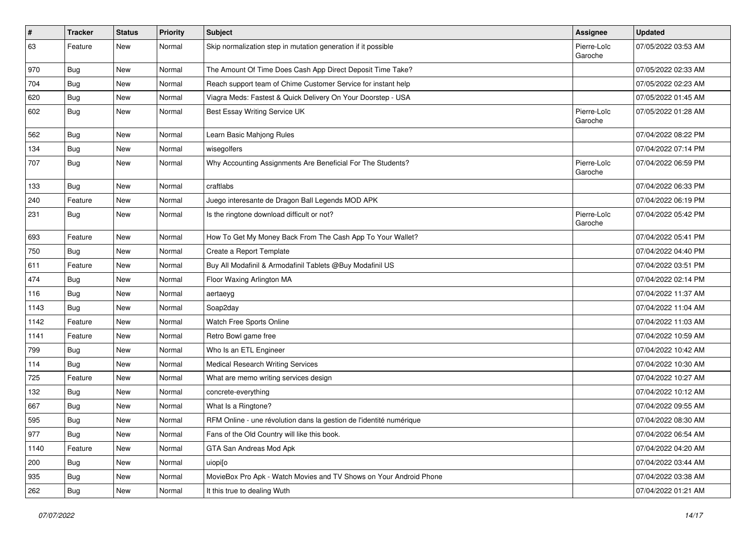| #    | <b>Tracker</b> | <b>Status</b> | <b>Priority</b> | <b>Subject</b>                                                      | <b>Assignee</b>        | <b>Updated</b>      |
|------|----------------|---------------|-----------------|---------------------------------------------------------------------|------------------------|---------------------|
| 63   | Feature        | New           | Normal          | Skip normalization step in mutation generation if it possible       | Pierre-Loïc<br>Garoche | 07/05/2022 03:53 AM |
| 970  | Bug            | New           | Normal          | The Amount Of Time Does Cash App Direct Deposit Time Take?          |                        | 07/05/2022 02:33 AM |
| 704  | <b>Bug</b>     | New           | Normal          | Reach support team of Chime Customer Service for instant help       |                        | 07/05/2022 02:23 AM |
| 620  | Bug            | New           | Normal          | Viagra Meds: Fastest & Quick Delivery On Your Doorstep - USA        |                        | 07/05/2022 01:45 AM |
| 602  | Bug            | New           | Normal          | Best Essay Writing Service UK                                       | Pierre-Loïc<br>Garoche | 07/05/2022 01:28 AM |
| 562  | Bug            | New           | Normal          | Learn Basic Mahjong Rules                                           |                        | 07/04/2022 08:22 PM |
| 134  | <b>Bug</b>     | New           | Normal          | wisegolfers                                                         |                        | 07/04/2022 07:14 PM |
| 707  | <b>Bug</b>     | New           | Normal          | Why Accounting Assignments Are Beneficial For The Students?         | Pierre-Loïc<br>Garoche | 07/04/2022 06:59 PM |
| 133  | <b>Bug</b>     | New           | Normal          | craftlabs                                                           |                        | 07/04/2022 06:33 PM |
| 240  | Feature        | New           | Normal          | Juego interesante de Dragon Ball Legends MOD APK                    |                        | 07/04/2022 06:19 PM |
| 231  | Bug            | New           | Normal          | Is the ringtone download difficult or not?                          | Pierre-Loïc<br>Garoche | 07/04/2022 05:42 PM |
| 693  | Feature        | New           | Normal          | How To Get My Money Back From The Cash App To Your Wallet?          |                        | 07/04/2022 05:41 PM |
| 750  | <b>Bug</b>     | New           | Normal          | Create a Report Template                                            |                        | 07/04/2022 04:40 PM |
| 611  | Feature        | New           | Normal          | Buy All Modafinil & Armodafinil Tablets @Buy Modafinil US           |                        | 07/04/2022 03:51 PM |
| 474  | <b>Bug</b>     | New           | Normal          | Floor Waxing Arlington MA                                           |                        | 07/04/2022 02:14 PM |
| 116  | Bug            | New           | Normal          | aertaeyg                                                            |                        | 07/04/2022 11:37 AM |
| 1143 | Bug            | New           | Normal          | Soap2day                                                            |                        | 07/04/2022 11:04 AM |
| 1142 | Feature        | New           | Normal          | Watch Free Sports Online                                            |                        | 07/04/2022 11:03 AM |
| 1141 | Feature        | New           | Normal          | Retro Bowl game free                                                |                        | 07/04/2022 10:59 AM |
| 799  | <b>Bug</b>     | New           | Normal          | Who Is an ETL Engineer                                              |                        | 07/04/2022 10:42 AM |
| 114  | <b>Bug</b>     | New           | Normal          | <b>Medical Research Writing Services</b>                            |                        | 07/04/2022 10:30 AM |
| 725  | Feature        | New           | Normal          | What are memo writing services design                               |                        | 07/04/2022 10:27 AM |
| 132  | Bug            | New           | Normal          | concrete-everything                                                 |                        | 07/04/2022 10:12 AM |
| 667  | <b>Bug</b>     | New           | Normal          | What Is a Ringtone?                                                 |                        | 07/04/2022 09:55 AM |
| 595  | <b>Bug</b>     | New           | Normal          | RFM Online - une révolution dans la gestion de l'identité numérique |                        | 07/04/2022 08:30 AM |
| 977  | <b>Bug</b>     | New           | Normal          | Fans of the Old Country will like this book.                        |                        | 07/04/2022 06:54 AM |
| 1140 | Feature        | New           | Normal          | GTA San Andreas Mod Apk                                             |                        | 07/04/2022 04:20 AM |
| 200  | Bug            | New           | Normal          | uiopi[o                                                             |                        | 07/04/2022 03:44 AM |
| 935  | <b>Bug</b>     | New           | Normal          | MovieBox Pro Apk - Watch Movies and TV Shows on Your Android Phone  |                        | 07/04/2022 03:38 AM |
| 262  | <b>Bug</b>     | New           | Normal          | It this true to dealing Wuth                                        |                        | 07/04/2022 01:21 AM |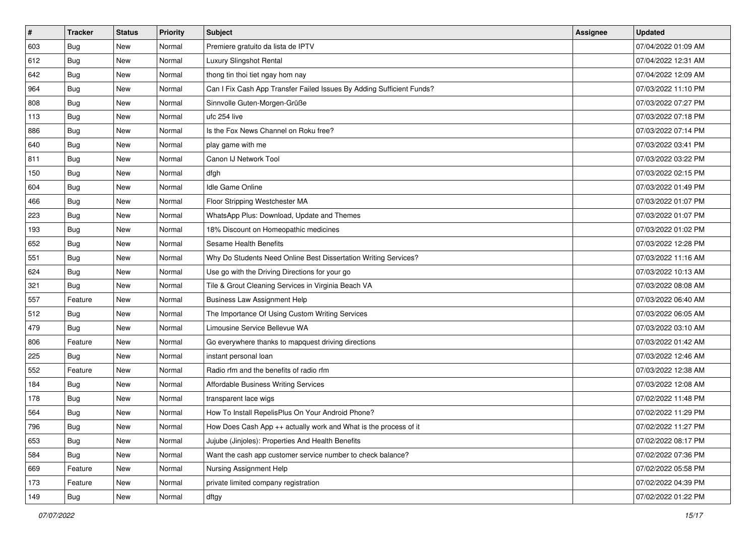| $\sharp$ | <b>Tracker</b> | <b>Status</b> | <b>Priority</b> | Subject                                                               | <b>Assignee</b> | <b>Updated</b>      |
|----------|----------------|---------------|-----------------|-----------------------------------------------------------------------|-----------------|---------------------|
| 603      | <b>Bug</b>     | New           | Normal          | Premiere gratuito da lista de IPTV                                    |                 | 07/04/2022 01:09 AM |
| 612      | <b>Bug</b>     | New           | Normal          | Luxury Slingshot Rental                                               |                 | 07/04/2022 12:31 AM |
| 642      | Bug            | New           | Normal          | thong tin thoi tiet ngay hom nay                                      |                 | 07/04/2022 12:09 AM |
| 964      | Bug            | New           | Normal          | Can I Fix Cash App Transfer Failed Issues By Adding Sufficient Funds? |                 | 07/03/2022 11:10 PM |
| 808      | Bug            | New           | Normal          | Sinnvolle Guten-Morgen-Grüße                                          |                 | 07/03/2022 07:27 PM |
| 113      | <b>Bug</b>     | New           | Normal          | ufc 254 live                                                          |                 | 07/03/2022 07:18 PM |
| 886      | Bug            | New           | Normal          | Is the Fox News Channel on Roku free?                                 |                 | 07/03/2022 07:14 PM |
| 640      | <b>Bug</b>     | New           | Normal          | play game with me                                                     |                 | 07/03/2022 03:41 PM |
| 811      | Bug            | New           | Normal          | Canon IJ Network Tool                                                 |                 | 07/03/2022 03:22 PM |
| 150      | Bug            | New           | Normal          | dfgh                                                                  |                 | 07/03/2022 02:15 PM |
| 604      | <b>Bug</b>     | New           | Normal          | Idle Game Online                                                      |                 | 07/03/2022 01:49 PM |
| 466      | Bug            | New           | Normal          | Floor Stripping Westchester MA                                        |                 | 07/03/2022 01:07 PM |
| 223      | Bug            | New           | Normal          | WhatsApp Plus: Download, Update and Themes                            |                 | 07/03/2022 01:07 PM |
| 193      | Bug            | New           | Normal          | 18% Discount on Homeopathic medicines                                 |                 | 07/03/2022 01:02 PM |
| 652      | <b>Bug</b>     | New           | Normal          | <b>Sesame Health Benefits</b>                                         |                 | 07/03/2022 12:28 PM |
| 551      | Bug            | New           | Normal          | Why Do Students Need Online Best Dissertation Writing Services?       |                 | 07/03/2022 11:16 AM |
| 624      | <b>Bug</b>     | New           | Normal          | Use go with the Driving Directions for your go                        |                 | 07/03/2022 10:13 AM |
| 321      | Bug            | <b>New</b>    | Normal          | Tile & Grout Cleaning Services in Virginia Beach VA                   |                 | 07/03/2022 08:08 AM |
| 557      | Feature        | New           | Normal          | <b>Business Law Assignment Help</b>                                   |                 | 07/03/2022 06:40 AM |
| 512      | Bug            | New           | Normal          | The Importance Of Using Custom Writing Services                       |                 | 07/03/2022 06:05 AM |
| 479      | <b>Bug</b>     | New           | Normal          | Limousine Service Bellevue WA                                         |                 | 07/03/2022 03:10 AM |
| 806      | Feature        | New           | Normal          | Go everywhere thanks to mapquest driving directions                   |                 | 07/03/2022 01:42 AM |
| 225      | Bug            | New           | Normal          | instant personal loan                                                 |                 | 07/03/2022 12:46 AM |
| 552      | Feature        | New           | Normal          | Radio rfm and the benefits of radio rfm                               |                 | 07/03/2022 12:38 AM |
| 184      | Bug            | New           | Normal          | Affordable Business Writing Services                                  |                 | 07/03/2022 12:08 AM |
| 178      | Bug            | New           | Normal          | transparent lace wigs                                                 |                 | 07/02/2022 11:48 PM |
| 564      | <b>Bug</b>     | New           | Normal          | How To Install RepelisPlus On Your Android Phone?                     |                 | 07/02/2022 11:29 PM |
| 796      | I Bug          | New           | Normal          | How Does Cash App ++ actually work and What is the process of it      |                 | 07/02/2022 11:27 PM |
| 653      | <b>Bug</b>     | New           | Normal          | Jujube (Jinjoles): Properties And Health Benefits                     |                 | 07/02/2022 08:17 PM |
| 584      | <b>Bug</b>     | New           | Normal          | Want the cash app customer service number to check balance?           |                 | 07/02/2022 07:36 PM |
| 669      | Feature        | New           | Normal          | Nursing Assignment Help                                               |                 | 07/02/2022 05:58 PM |
| 173      | Feature        | New           | Normal          | private limited company registration                                  |                 | 07/02/2022 04:39 PM |
| 149      | <b>Bug</b>     | New           | Normal          | dftgy                                                                 |                 | 07/02/2022 01:22 PM |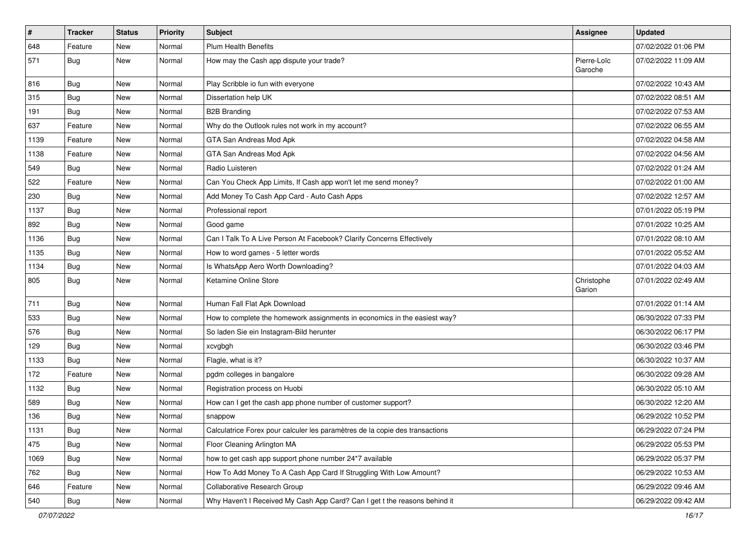| $\sharp$ | <b>Tracker</b> | <b>Status</b> | <b>Priority</b> | <b>Subject</b>                                                               | Assignee               | <b>Updated</b>      |
|----------|----------------|---------------|-----------------|------------------------------------------------------------------------------|------------------------|---------------------|
| 648      | Feature        | New           | Normal          | <b>Plum Health Benefits</b>                                                  |                        | 07/02/2022 01:06 PM |
| 571      | <b>Bug</b>     | <b>New</b>    | Normal          | How may the Cash app dispute your trade?                                     | Pierre-Loïc<br>Garoche | 07/02/2022 11:09 AM |
| 816      | Bug            | <b>New</b>    | Normal          | Play Scribble io fun with everyone                                           |                        | 07/02/2022 10:43 AM |
| 315      | <b>Bug</b>     | <b>New</b>    | Normal          | Dissertation help UK                                                         |                        | 07/02/2022 08:51 AM |
| 191      | <b>Bug</b>     | New           | Normal          | <b>B2B Branding</b>                                                          |                        | 07/02/2022 07:53 AM |
| 637      | Feature        | New           | Normal          | Why do the Outlook rules not work in my account?                             |                        | 07/02/2022 06:55 AM |
| 1139     | Feature        | New           | Normal          | GTA San Andreas Mod Apk                                                      |                        | 07/02/2022 04:58 AM |
| 1138     | Feature        | New           | Normal          | GTA San Andreas Mod Apk                                                      |                        | 07/02/2022 04:56 AM |
| 549      | <b>Bug</b>     | <b>New</b>    | Normal          | Radio Luisteren                                                              |                        | 07/02/2022 01:24 AM |
| 522      | Feature        | New           | Normal          | Can You Check App Limits, If Cash app won't let me send money?               |                        | 07/02/2022 01:00 AM |
| 230      | <b>Bug</b>     | New           | Normal          | Add Money To Cash App Card - Auto Cash Apps                                  |                        | 07/02/2022 12:57 AM |
| 1137     | Bug            | <b>New</b>    | Normal          | Professional report                                                          |                        | 07/01/2022 05:19 PM |
| 892      | Bug            | New           | Normal          | Good game                                                                    |                        | 07/01/2022 10:25 AM |
| 1136     | <b>Bug</b>     | <b>New</b>    | Normal          | Can I Talk To A Live Person At Facebook? Clarify Concerns Effectively        |                        | 07/01/2022 08:10 AM |
| 1135     | <b>Bug</b>     | New           | Normal          | How to word games - 5 letter words                                           |                        | 07/01/2022 05:52 AM |
| 1134     | <b>Bug</b>     | New           | Normal          | Is WhatsApp Aero Worth Downloading?                                          |                        | 07/01/2022 04:03 AM |
| 805      | <b>Bug</b>     | New           | Normal          | Ketamine Online Store                                                        | Christophe<br>Garion   | 07/01/2022 02:49 AM |
| 711      | Bug            | <b>New</b>    | Normal          | Human Fall Flat Apk Download                                                 |                        | 07/01/2022 01:14 AM |
| 533      | Bug            | <b>New</b>    | Normal          | How to complete the homework assignments in economics in the easiest way?    |                        | 06/30/2022 07:33 PM |
| 576      | Bug            | New           | Normal          | So laden Sie ein Instagram-Bild herunter                                     |                        | 06/30/2022 06:17 PM |
| 129      | <b>Bug</b>     | <b>New</b>    | Normal          | xcvgbgh                                                                      |                        | 06/30/2022 03:46 PM |
| 1133     | <b>Bug</b>     | New           | Normal          | Flagle, what is it?                                                          |                        | 06/30/2022 10:37 AM |
| 172      | Feature        | New           | Normal          | pgdm colleges in bangalore                                                   |                        | 06/30/2022 09:28 AM |
| 1132     | Bug            | <b>New</b>    | Normal          | Registration process on Huobi                                                |                        | 06/30/2022 05:10 AM |
| 589      | <b>Bug</b>     | New           | Normal          | How can I get the cash app phone number of customer support?                 |                        | 06/30/2022 12:20 AM |
| 136      | <b>Bug</b>     | <b>New</b>    | Normal          | snappow                                                                      |                        | 06/29/2022 10:52 PM |
| 1131     | Bug            | New           | Normal          | Calculatrice Forex pour calculer les paramètres de la copie des transactions |                        | 06/29/2022 07:24 PM |
| 475      | Bug            | New           | Normal          | Floor Cleaning Arlington MA                                                  |                        | 06/29/2022 05:53 PM |
| 1069     | <b>Bug</b>     | New           | Normal          | how to get cash app support phone number 24*7 available                      |                        | 06/29/2022 05:37 PM |
| 762      | <b>Bug</b>     | New           | Normal          | How To Add Money To A Cash App Card If Struggling With Low Amount?           |                        | 06/29/2022 10:53 AM |
| 646      | Feature        | New           | Normal          | Collaborative Research Group                                                 |                        | 06/29/2022 09:46 AM |
| 540      | Bug            | New           | Normal          | Why Haven't I Received My Cash App Card? Can I get t the reasons behind it   |                        | 06/29/2022 09:42 AM |